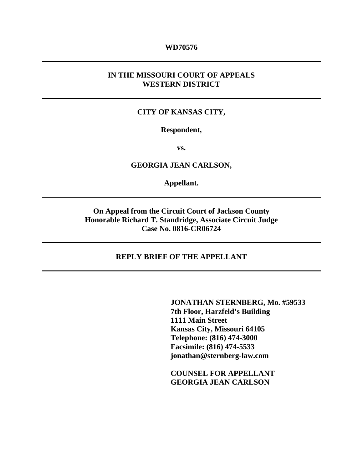### **WD70576**

# **IN THE MISSOURI COURT OF APPEALS WESTERN DISTRICT**

## **CITY OF KANSAS CITY,**

#### **Respondent,**

**vs.** 

**GEORGIA JEAN CARLSON,** 

**Appellant.** 

**On Appeal from the Circuit Court of Jackson County Honorable Richard T. Standridge, Associate Circuit Judge Case No. 0816-CR06724** 

### **REPLY BRIEF OF THE APPELLANT**

 **JONATHAN STERNBERG, Mo. #59533 7th Floor, Harzfeld's Building 1111 Main Street Kansas City, Missouri 64105 Telephone: (816) 474-3000 Facsimile: (816) 474-5533 jonathan@sternberg-law.com** 

 **COUNSEL FOR APPELLANT GEORGIA JEAN CARLSON**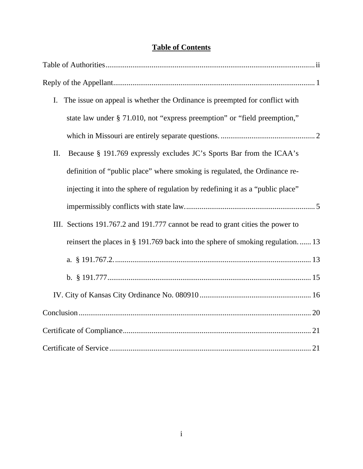# **Table of Contents**

| The issue on appeal is whether the Ordinance is preempted for conflict with<br>I. |
|-----------------------------------------------------------------------------------|
| state law under § 71.010, not "express preemption" or "field preemption,"         |
|                                                                                   |
| Because § 191.769 expressly excludes JC's Sports Bar from the ICAA's<br>II.       |
| definition of "public place" where smoking is regulated, the Ordinance re-        |
| injecting it into the sphere of regulation by redefining it as a "public place"   |
|                                                                                   |
| III. Sections 191.767.2 and 191.777 cannot be read to grant cities the power to   |
| reinsert the places in § 191.769 back into the sphere of smoking regulation 13    |
|                                                                                   |
|                                                                                   |
|                                                                                   |
|                                                                                   |
|                                                                                   |
|                                                                                   |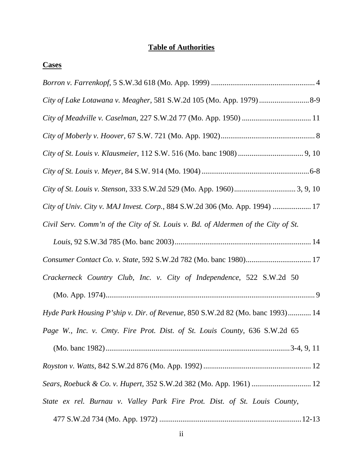# **Table of Authorities**

| <b>Cases</b>                                                                      |
|-----------------------------------------------------------------------------------|
|                                                                                   |
| City of Lake Lotawana v. Meagher, 581 S.W.2d 105 (Mo. App. 1979)8-9               |
|                                                                                   |
|                                                                                   |
|                                                                                   |
|                                                                                   |
|                                                                                   |
| City of Univ. City v. MAJ Invest. Corp., 884 S.W.2d 306 (Mo. App. 1994)  17       |
| Civil Serv. Comm'n of the City of St. Louis v. Bd. of Aldermen of the City of St. |
|                                                                                   |
|                                                                                   |
| Crackerneck Country Club, Inc. v. City of Independence, 522 S.W.2d 50             |
|                                                                                   |
| Hyde Park Housing P'ship v. Dir. of Revenue, 850 S.W.2d 82 (Mo. banc 1993) 14     |
| Page W., Inc. v. Cmty. Fire Prot. Dist. of St. Louis County, 636 S.W.2d 65        |
|                                                                                   |
|                                                                                   |
|                                                                                   |
| State ex rel. Burnau v. Valley Park Fire Prot. Dist. of St. Louis County,         |
|                                                                                   |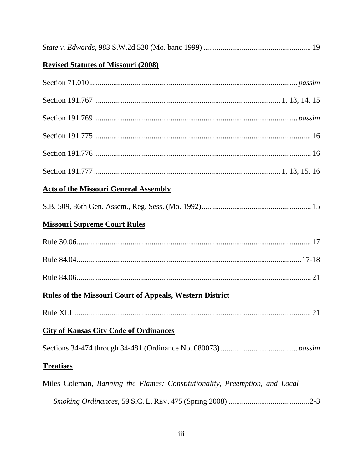|--|--|--|--|--|

# **Revised Statutes of Missouri (2008)**

| <b>Acts of the Missouri General Assembly</b>                                |
|-----------------------------------------------------------------------------|
|                                                                             |
| <b>Missouri Supreme Court Rules</b>                                         |
|                                                                             |
|                                                                             |
|                                                                             |
| <b>Rules of the Missouri Court of Appeals, Western District</b>             |
|                                                                             |
| <b>City of Kansas City Code of Ordinances</b>                               |
|                                                                             |
| <b>Treatises</b>                                                            |
| Miles Coleman, Banning the Flames: Constitutionality, Preemption, and Local |
|                                                                             |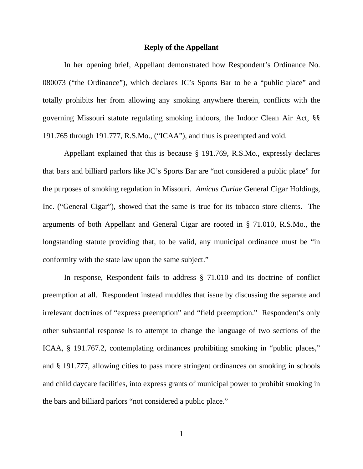#### **Reply of the Appellant**

In her opening brief, Appellant demonstrated how Respondent's Ordinance No. 080073 ("the Ordinance"), which declares JC's Sports Bar to be a "public place" and totally prohibits her from allowing any smoking anywhere therein, conflicts with the governing Missouri statute regulating smoking indoors, the Indoor Clean Air Act, §§ 191.765 through 191.777, R.S.Mo., ("ICAA"), and thus is preempted and void.

Appellant explained that this is because § 191.769, R.S.Mo., expressly declares that bars and billiard parlors like JC's Sports Bar are "not considered a public place" for the purposes of smoking regulation in Missouri. *Amicus Curiae* General Cigar Holdings, Inc. ("General Cigar"), showed that the same is true for its tobacco store clients. The arguments of both Appellant and General Cigar are rooted in § 71.010, R.S.Mo., the longstanding statute providing that, to be valid, any municipal ordinance must be "in conformity with the state law upon the same subject."

In response, Respondent fails to address § 71.010 and its doctrine of conflict preemption at all. Respondent instead muddles that issue by discussing the separate and irrelevant doctrines of "express preemption" and "field preemption." Respondent's only other substantial response is to attempt to change the language of two sections of the ICAA, § 191.767.2, contemplating ordinances prohibiting smoking in "public places," and § 191.777, allowing cities to pass more stringent ordinances on smoking in schools and child daycare facilities, into express grants of municipal power to prohibit smoking in the bars and billiard parlors "not considered a public place."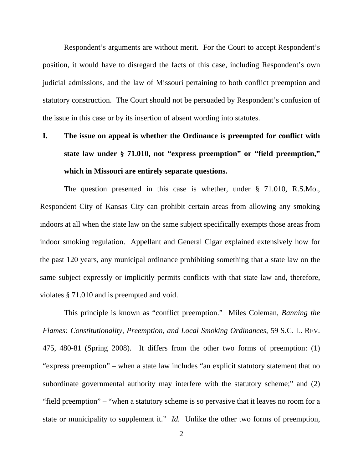Respondent's arguments are without merit. For the Court to accept Respondent's position, it would have to disregard the facts of this case, including Respondent's own judicial admissions, and the law of Missouri pertaining to both conflict preemption and statutory construction. The Court should not be persuaded by Respondent's confusion of the issue in this case or by its insertion of absent wording into statutes.

# **I. The issue on appeal is whether the Ordinance is preempted for conflict with state law under § 71.010, not "express preemption" or "field preemption," which in Missouri are entirely separate questions.**

The question presented in this case is whether, under § 71.010, R.S.Mo., Respondent City of Kansas City can prohibit certain areas from allowing any smoking indoors at all when the state law on the same subject specifically exempts those areas from indoor smoking regulation. Appellant and General Cigar explained extensively how for the past 120 years, any municipal ordinance prohibiting something that a state law on the same subject expressly or implicitly permits conflicts with that state law and, therefore, violates § 71.010 and is preempted and void.

This principle is known as "conflict preemption." Miles Coleman, *Banning the Flames: Constitutionality, Preemption, and Local Smoking Ordinances*, 59 S.C. L. REV. 475, 480-81 (Spring 2008). It differs from the other two forms of preemption: (1) "express preemption" – when a state law includes "an explicit statutory statement that no subordinate governmental authority may interfere with the statutory scheme;" and (2) "field preemption" – "when a statutory scheme is so pervasive that it leaves no room for a state or municipality to supplement it." *Id.* Unlike the other two forms of preemption,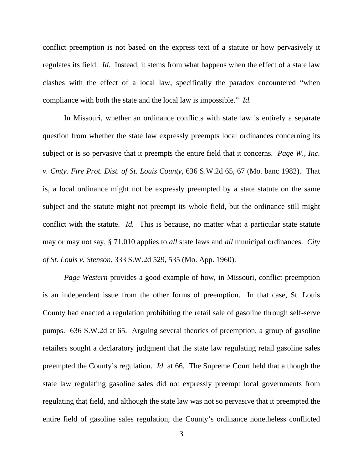conflict preemption is not based on the express text of a statute or how pervasively it regulates its field. *Id.* Instead, it stems from what happens when the effect of a state law clashes with the effect of a local law, specifically the paradox encountered "when compliance with both the state and the local law is impossible." *Id.*

In Missouri, whether an ordinance conflicts with state law is entirely a separate question from whether the state law expressly preempts local ordinances concerning its subject or is so pervasive that it preempts the entire field that it concerns. *Page W., Inc. v. Cmty. Fire Prot. Dist. of St. Louis County*, 636 S.W.2d 65, 67 (Mo. banc 1982). That is, a local ordinance might not be expressly preempted by a state statute on the same subject and the statute might not preempt its whole field, but the ordinance still might conflict with the statute. *Id.* This is because, no matter what a particular state statute may or may not say, § 71.010 applies to *all* state laws and *all* municipal ordinances. *City of St. Louis v. Stenson*, 333 S.W.2d 529, 535 (Mo. App. 1960).

*Page Western* provides a good example of how, in Missouri, conflict preemption is an independent issue from the other forms of preemption. In that case, St. Louis County had enacted a regulation prohibiting the retail sale of gasoline through self-serve pumps. 636 S.W.2d at 65. Arguing several theories of preemption, a group of gasoline retailers sought a declaratory judgment that the state law regulating retail gasoline sales preempted the County's regulation. *Id.* at 66. The Supreme Court held that although the state law regulating gasoline sales did not expressly preempt local governments from regulating that field, and although the state law was not so pervasive that it preempted the entire field of gasoline sales regulation, the County's ordinance nonetheless conflicted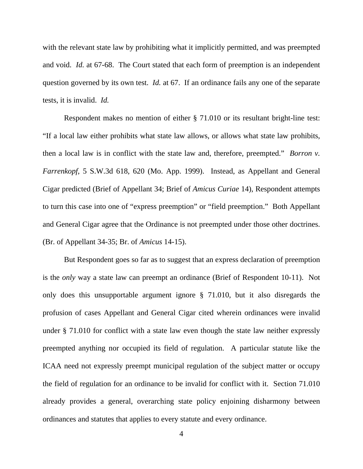with the relevant state law by prohibiting what it implicitly permitted, and was preempted and void. *Id.* at 67-68. The Court stated that each form of preemption is an independent question governed by its own test. *Id.* at 67. If an ordinance fails any one of the separate tests, it is invalid. *Id.*

Respondent makes no mention of either § 71.010 or its resultant bright-line test: "If a local law either prohibits what state law allows, or allows what state law prohibits, then a local law is in conflict with the state law and, therefore, preempted." *Borron v. Farrenkopf*, 5 S.W.3d 618, 620 (Mo. App. 1999). Instead, as Appellant and General Cigar predicted (Brief of Appellant 34; Brief of *Amicus Curiae* 14), Respondent attempts to turn this case into one of "express preemption" or "field preemption." Both Appellant and General Cigar agree that the Ordinance is not preempted under those other doctrines. (Br. of Appellant 34-35; Br. of *Amicus* 14-15).

But Respondent goes so far as to suggest that an express declaration of preemption is the *only* way a state law can preempt an ordinance (Brief of Respondent 10-11). Not only does this unsupportable argument ignore § 71.010, but it also disregards the profusion of cases Appellant and General Cigar cited wherein ordinances were invalid under § 71.010 for conflict with a state law even though the state law neither expressly preempted anything nor occupied its field of regulation. A particular statute like the ICAA need not expressly preempt municipal regulation of the subject matter or occupy the field of regulation for an ordinance to be invalid for conflict with it. Section 71.010 already provides a general, overarching state policy enjoining disharmony between ordinances and statutes that applies to every statute and every ordinance.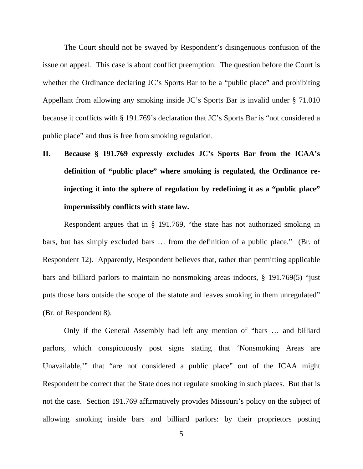The Court should not be swayed by Respondent's disingenuous confusion of the issue on appeal. This case is about conflict preemption. The question before the Court is whether the Ordinance declaring JC's Sports Bar to be a "public place" and prohibiting Appellant from allowing any smoking inside JC's Sports Bar is invalid under § 71.010 because it conflicts with § 191.769's declaration that JC's Sports Bar is "not considered a public place" and thus is free from smoking regulation.

**II. Because § 191.769 expressly excludes JC's Sports Bar from the ICAA's definition of "public place" where smoking is regulated, the Ordinance reinjecting it into the sphere of regulation by redefining it as a "public place" impermissibly conflicts with state law.** 

Respondent argues that in § 191.769, "the state has not authorized smoking in bars, but has simply excluded bars … from the definition of a public place." (Br. of Respondent 12). Apparently, Respondent believes that, rather than permitting applicable bars and billiard parlors to maintain no nonsmoking areas indoors, § 191.769(5) "just puts those bars outside the scope of the statute and leaves smoking in them unregulated" (Br. of Respondent 8).

Only if the General Assembly had left any mention of "bars … and billiard parlors, which conspicuously post signs stating that 'Nonsmoking Areas are Unavailable,'" that "are not considered a public place" out of the ICAA might Respondent be correct that the State does not regulate smoking in such places. But that is not the case. Section 191.769 affirmatively provides Missouri's policy on the subject of allowing smoking inside bars and billiard parlors: by their proprietors posting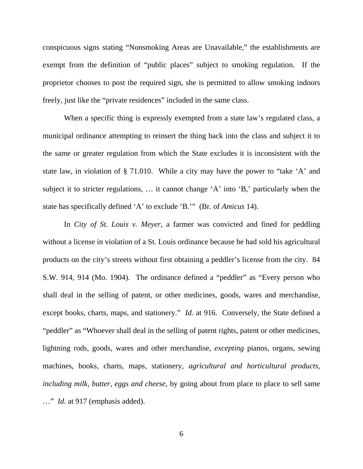conspicuous signs stating "Nonsmoking Areas are Unavailable," the establishments are exempt from the definition of "public places" subject to smoking regulation. If the proprietor chooses to post the required sign, she is permitted to allow smoking indoors freely, just like the "private residences" included in the same class.

When a specific thing is expressly exempted from a state law's regulated class, a municipal ordinance attempting to reinsert the thing back into the class and subject it to the same or greater regulation from which the State excludes it is inconsistent with the state law, in violation of § 71.010. While a city may have the power to "take 'A' and subject it to stricter regulations, … it cannot change 'A' into 'B,' particularly when the state has specifically defined 'A' to exclude 'B.'" (Br. of *Amicus* 14).

In *City of St. Louis v. Meyer*, a farmer was convicted and fined for peddling without a license in violation of a St. Louis ordinance because he had sold his agricultural products on the city's streets without first obtaining a peddler's license from the city. 84 S.W. 914, 914 (Mo. 1904). The ordinance defined a "peddler" as "Every person who shall deal in the selling of patent, or other medicines, goods, wares and merchandise, except books, charts, maps, and stationery." *Id.* at 916. Conversely, the State defined a "peddler" as "Whoever shall deal in the selling of patent rights, patent or other medicines, lightning rods, goods, wares and other merchandise, *excepting* pianos, organs, sewing machines, books, charts, maps, stationery, *agricultural and horticultural products, including milk, butter, eggs and cheese*, by going about from place to place to sell same …" *Id.* at 917 (emphasis added).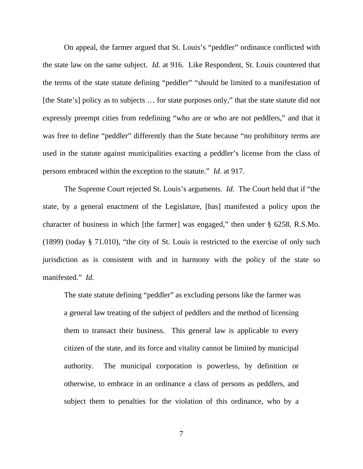On appeal, the farmer argued that St. Louis's "peddler" ordinance conflicted with the state law on the same subject. *Id.* at 916. Like Respondent, St. Louis countered that the terms of the state statute defining "peddler" "should be limited to a manifestation of [the State's] policy as to subjects … for state purposes only," that the state statute did not expressly preempt cities from redefining "who are or who are not peddlers," and that it was free to define "peddler" differently than the State because "no prohibitory terms are used in the statute against municipalities exacting a peddler's license from the class of persons embraced within the exception to the statute." *Id.* at 917.

The Supreme Court rejected St. Louis's arguments. *Id.* The Court held that if "the state, by a general enactment of the Legislature, [has] manifested a policy upon the character of business in which [the farmer] was engaged," then under § 6258, R.S.Mo. (1899) (today § 71.010), "the city of St. Louis is restricted to the exercise of only such jurisdiction as is consistent with and in harmony with the policy of the state so manifested." *Id.*

The state statute defining "peddler" as excluding persons like the farmer was a general law treating of the subject of peddlers and the method of licensing them to transact their business. This general law is applicable to every citizen of the state, and its force and vitality cannot be limited by municipal authority. The municipal corporation is powerless, by definition or otherwise, to embrace in an ordinance a class of persons as peddlers, and subject them to penalties for the violation of this ordinance, who by a

7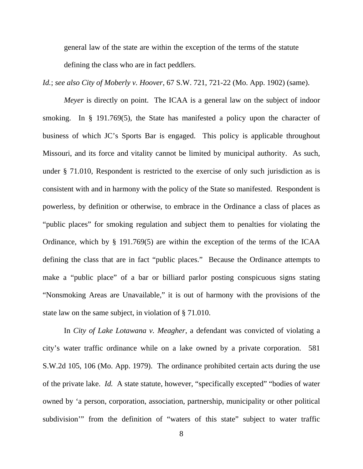general law of the state are within the exception of the terms of the statute defining the class who are in fact peddlers.

*Id.*; *see also City of Moberly v. Hoover*, 67 S.W. 721, 721-22 (Mo. App. 1902) (same).

*Meyer* is directly on point. The ICAA is a general law on the subject of indoor smoking. In § 191.769(5), the State has manifested a policy upon the character of business of which JC's Sports Bar is engaged. This policy is applicable throughout Missouri, and its force and vitality cannot be limited by municipal authority. As such, under § 71.010, Respondent is restricted to the exercise of only such jurisdiction as is consistent with and in harmony with the policy of the State so manifested. Respondent is powerless, by definition or otherwise, to embrace in the Ordinance a class of places as "public places" for smoking regulation and subject them to penalties for violating the Ordinance, which by § 191.769(5) are within the exception of the terms of the ICAA defining the class that are in fact "public places." Because the Ordinance attempts to make a "public place" of a bar or billiard parlor posting conspicuous signs stating "Nonsmoking Areas are Unavailable," it is out of harmony with the provisions of the state law on the same subject, in violation of § 71.010.

In *City of Lake Lotawana v. Meagher*, a defendant was convicted of violating a city's water traffic ordinance while on a lake owned by a private corporation. 581 S.W.2d 105, 106 (Mo. App. 1979). The ordinance prohibited certain acts during the use of the private lake. *Id.* A state statute, however, "specifically excepted" "bodies of water owned by 'a person, corporation, association, partnership, municipality or other political subdivision" from the definition of "waters of this state" subject to water traffic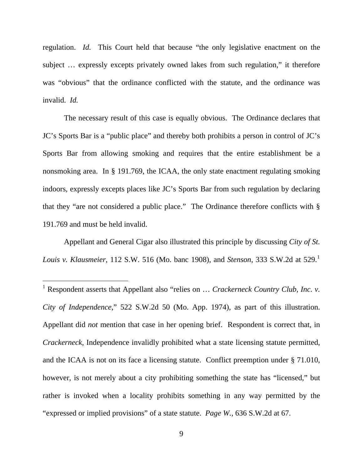regulation. *Id.* This Court held that because "the only legislative enactment on the subject … expressly excepts privately owned lakes from such regulation," it therefore was "obvious" that the ordinance conflicted with the statute, and the ordinance was invalid. *Id.*

The necessary result of this case is equally obvious. The Ordinance declares that JC's Sports Bar is a "public place" and thereby both prohibits a person in control of JC's Sports Bar from allowing smoking and requires that the entire establishment be a nonsmoking area. In § 191.769, the ICAA, the only state enactment regulating smoking indoors, expressly excepts places like JC's Sports Bar from such regulation by declaring that they "are not considered a public place." The Ordinance therefore conflicts with § 191.769 and must be held invalid.

Appellant and General Cigar also illustrated this principle by discussing *City of St. Louis v. Klausmeier*, [1](#page-12-0)12 S.W. 516 (Mo. banc 1908), and *Stenson*, 333 S.W.2d at 529.<sup>1</sup>

 $\overline{a}$ 

<span id="page-12-0"></span><sup>&</sup>lt;sup>1</sup> Respondent asserts that Appellant also "relies on ... *Crackerneck Country Club, Inc. v. City of Independence*," 522 S.W.2d 50 (Mo. App. 1974), as part of this illustration. Appellant did *not* mention that case in her opening brief. Respondent is correct that, in *Crackerneck*, Independence invalidly prohibited what a state licensing statute permitted, and the ICAA is not on its face a licensing statute. Conflict preemption under § 71.010, however, is not merely about a city prohibiting something the state has "licensed," but rather is invoked when a locality prohibits something in any way permitted by the "expressed or implied provisions" of a state statute. *Page W.*, 636 S.W.2d at 67.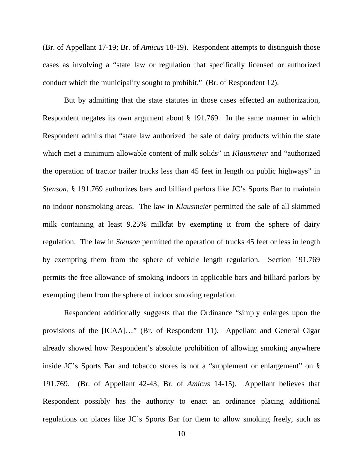(Br. of Appellant 17-19; Br. of *Amicus* 18-19). Respondent attempts to distinguish those cases as involving a "state law or regulation that specifically licensed or authorized conduct which the municipality sought to prohibit." (Br. of Respondent 12).

But by admitting that the state statutes in those cases effected an authorization, Respondent negates its own argument about § 191.769. In the same manner in which Respondent admits that "state law authorized the sale of dairy products within the state which met a minimum allowable content of milk solids" in *Klausmeier* and "authorized the operation of tractor trailer trucks less than 45 feet in length on public highways" in *Stenson*, § 191.769 authorizes bars and billiard parlors like JC's Sports Bar to maintain no indoor nonsmoking areas. The law in *Klausmeier* permitted the sale of all skimmed milk containing at least 9.25% milkfat by exempting it from the sphere of dairy regulation. The law in *Stenson* permitted the operation of trucks 45 feet or less in length by exempting them from the sphere of vehicle length regulation. Section 191.769 permits the free allowance of smoking indoors in applicable bars and billiard parlors by exempting them from the sphere of indoor smoking regulation.

Respondent additionally suggests that the Ordinance "simply enlarges upon the provisions of the [ICAA]…" (Br. of Respondent 11). Appellant and General Cigar already showed how Respondent's absolute prohibition of allowing smoking anywhere inside JC's Sports Bar and tobacco stores is not a "supplement or enlargement" on § 191.769. (Br. of Appellant 42-43; Br. of *Amicus* 14-15). Appellant believes that Respondent possibly has the authority to enact an ordinance placing additional regulations on places like JC's Sports Bar for them to allow smoking freely, such as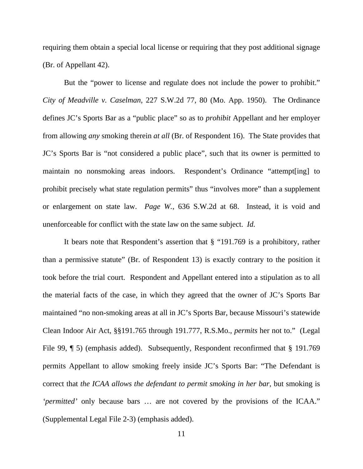requiring them obtain a special local license or requiring that they post additional signage (Br. of Appellant 42).

But the "power to license and regulate does not include the power to prohibit." *City of Meadville v. Caselman*, 227 S.W.2d 77, 80 (Mo. App. 1950). The Ordinance defines JC's Sports Bar as a "public place" so as to *prohibit* Appellant and her employer from allowing *any* smoking therein *at all* (Br. of Respondent 16). The State provides that JC's Sports Bar is "not considered a public place", such that its owner is permitted to maintain no nonsmoking areas indoors. Respondent's Ordinance "attempt[ing] to prohibit precisely what state regulation permits" thus "involves more" than a supplement or enlargement on state law. *Page W.*, 636 S.W.2d at 68. Instead, it is void and unenforceable for conflict with the state law on the same subject. *Id.*

It bears note that Respondent's assertion that § "191.769 is a prohibitory, rather than a permissive statute" (Br. of Respondent 13) is exactly contrary to the position it took before the trial court. Respondent and Appellant entered into a stipulation as to all the material facts of the case, in which they agreed that the owner of JC's Sports Bar maintained "no non-smoking areas at all in JC's Sports Bar, because Missouri's statewide Clean Indoor Air Act, §§191.765 through 191.777, R.S.Mo., *permits* her not to." (Legal File 99,  $\parallel$  5) (emphasis added). Subsequently, Respondent reconfirmed that § 191.769 permits Appellant to allow smoking freely inside JC's Sports Bar: "The Defendant is correct that *the ICAA allows the defendant to permit smoking in her bar*, but smoking is *'permitted'* only because bars … are not covered by the provisions of the ICAA." (Supplemental Legal File 2-3) (emphasis added).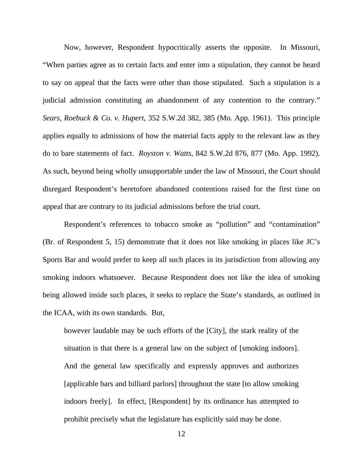Now, however, Respondent hypocritically asserts the opposite. In Missouri, "When parties agree as to certain facts and enter into a stipulation, they cannot be heard to say on appeal that the facts were other than those stipulated. Such a stipulation is a judicial admission constituting an abandonment of any contention to the contrary." *Sears, Roebuck & Co. v. Hupert*, 352 S.W.2d 382, 385 (Mo. App. 1961). This principle applies equally to admissions of how the material facts apply to the relevant law as they do to bare statements of fact. *Royston v. Watts*, 842 S.W.2d 876, 877 (Mo. App. 1992). As such, beyond being wholly unsupportable under the law of Missouri, the Court should disregard Respondent's heretofore abandoned contentions raised for the first time on appeal that are contrary to its judicial admissions before the trial court.

Respondent's references to tobacco smoke as "pollution" and "contamination" (Br. of Respondent 5, 15) demonstrate that it does not like smoking in places like JC's Sports Bar and would prefer to keep all such places in its jurisdiction from allowing any smoking indoors whatsoever. Because Respondent does not like the idea of smoking being allowed inside such places, it seeks to replace the State's standards, as outlined in the ICAA, with its own standards. But,

however laudable may be such efforts of the [City], the stark reality of the situation is that there is a general law on the subject of [smoking indoors]. And the general law specifically and expressly approves and authorizes [applicable bars and billiard parlors] throughout the state [to allow smoking indoors freely]. In effect, [Respondent] by its ordinance has attempted to prohibit precisely what the legislature has explicitly said may be done.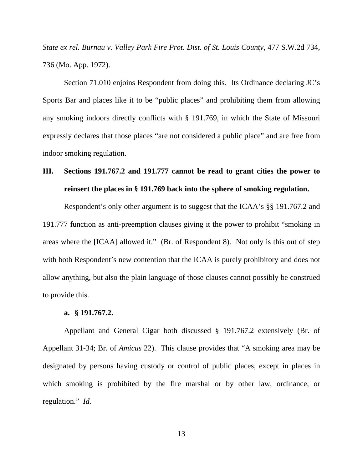*State ex rel. Burnau v. Valley Park Fire Prot. Dist. of St. Louis County*, 477 S.W.2d 734, 736 (Mo. App. 1972).

Section 71.010 enjoins Respondent from doing this. Its Ordinance declaring JC's Sports Bar and places like it to be "public places" and prohibiting them from allowing any smoking indoors directly conflicts with § 191.769, in which the State of Missouri expressly declares that those places "are not considered a public place" and are free from indoor smoking regulation.

# **III. Sections 191.767.2 and 191.777 cannot be read to grant cities the power to reinsert the places in § 191.769 back into the sphere of smoking regulation.**

Respondent's only other argument is to suggest that the ICAA's §§ 191.767.2 and 191.777 function as anti-preemption clauses giving it the power to prohibit "smoking in areas where the [ICAA] allowed it." (Br. of Respondent 8). Not only is this out of step with both Respondent's new contention that the ICAA is purely prohibitory and does not allow anything, but also the plain language of those clauses cannot possibly be construed to provide this.

### **a. § 191.767.2.**

Appellant and General Cigar both discussed § 191.767.2 extensively (Br. of Appellant 31-34; Br. of *Amicus* 22). This clause provides that "A smoking area may be designated by persons having custody or control of public places, except in places in which smoking is prohibited by the fire marshal or by other law, ordinance, or regulation." *Id.*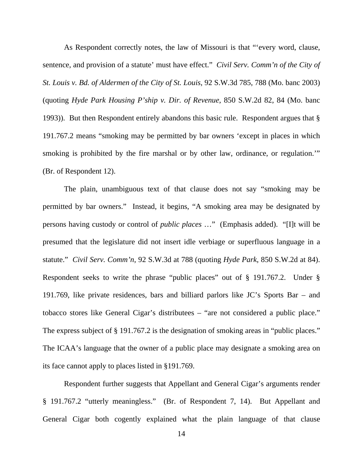As Respondent correctly notes, the law of Missouri is that "'every word, clause, sentence, and provision of a statute' must have effect." *Civil Serv. Comm'n of the City of St. Louis v. Bd. of Aldermen of the City of St. Louis*, 92 S.W.3d 785, 788 (Mo. banc 2003) (quoting *Hyde Park Housing P'ship v. Dir. of Revenue*, 850 S.W.2d 82, 84 (Mo. banc 1993)). But then Respondent entirely abandons this basic rule. Respondent argues that § 191.767.2 means "smoking may be permitted by bar owners 'except in places in which smoking is prohibited by the fire marshal or by other law, ordinance, or regulation." (Br. of Respondent 12).

The plain, unambiguous text of that clause does not say "smoking may be permitted by bar owners." Instead, it begins, "A smoking area may be designated by persons having custody or control of *public places* …" (Emphasis added). "[I]t will be presumed that the legislature did not insert idle verbiage or superfluous language in a statute." *Civil Serv. Comm'n*, 92 S.W.3d at 788 (quoting *Hyde Park*, 850 S.W.2d at 84). Respondent seeks to write the phrase "public places" out of § 191.767.2. Under § 191.769, like private residences, bars and billiard parlors like JC's Sports Bar – and tobacco stores like General Cigar's distributees – "are not considered a public place." The express subject of § 191.767.2 is the designation of smoking areas in "public places." The ICAA's language that the owner of a public place may designate a smoking area on its face cannot apply to places listed in §191.769.

Respondent further suggests that Appellant and General Cigar's arguments render § 191.767.2 "utterly meaningless." (Br. of Respondent 7, 14). But Appellant and General Cigar both cogently explained what the plain language of that clause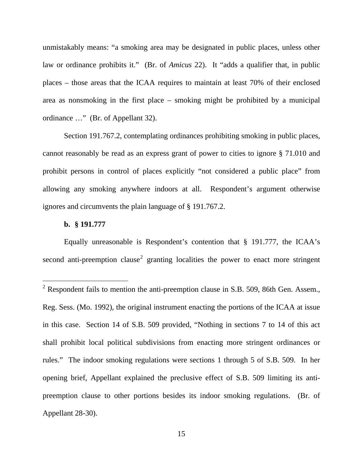unmistakably means: "a smoking area may be designated in public places, unless other law or ordinance prohibits it." (Br. of *Amicus* 22). It "adds a qualifier that, in public places – those areas that the ICAA requires to maintain at least 70% of their enclosed area as nonsmoking in the first place – smoking might be prohibited by a municipal ordinance …" (Br. of Appellant 32).

Section 191.767.2, contemplating ordinances prohibiting smoking in public places, cannot reasonably be read as an express grant of power to cities to ignore § 71.010 and prohibit persons in control of places explicitly "not considered a public place" from allowing any smoking anywhere indoors at all. Respondent's argument otherwise ignores and circumvents the plain language of § 191.767.2.

### **b. § 191.777**

 $\overline{a}$ 

Equally unreasonable is Respondent's contention that § 191.777, the ICAA's second anti-preemption clause<sup>[2](#page-18-0)</sup> granting localities the power to enact more stringent

<span id="page-18-0"></span><sup>&</sup>lt;sup>2</sup> Respondent fails to mention the anti-preemption clause in S.B. 509, 86th Gen. Assem., Reg. Sess. (Mo. 1992), the original instrument enacting the portions of the ICAA at issue in this case. Section 14 of S.B. 509 provided, "Nothing in sections 7 to 14 of this act shall prohibit local political subdivisions from enacting more stringent ordinances or rules." The indoor smoking regulations were sections 1 through 5 of S.B. 509. In her opening brief, Appellant explained the preclusive effect of S.B. 509 limiting its antipreemption clause to other portions besides its indoor smoking regulations. (Br. of Appellant 28-30).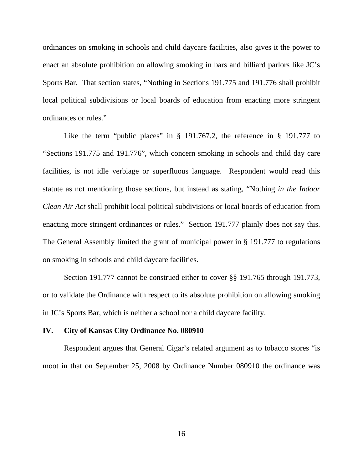ordinances on smoking in schools and child daycare facilities, also gives it the power to enact an absolute prohibition on allowing smoking in bars and billiard parlors like JC's Sports Bar. That section states, "Nothing in Sections 191.775 and 191.776 shall prohibit local political subdivisions or local boards of education from enacting more stringent ordinances or rules."

Like the term "public places" in  $\S$  191.767.2, the reference in  $\S$  191.777 to "Sections 191.775 and 191.776", which concern smoking in schools and child day care facilities, is not idle verbiage or superfluous language. Respondent would read this statute as not mentioning those sections, but instead as stating, "Nothing *in the Indoor Clean Air Act* shall prohibit local political subdivisions or local boards of education from enacting more stringent ordinances or rules." Section 191.777 plainly does not say this. The General Assembly limited the grant of municipal power in § 191.777 to regulations on smoking in schools and child daycare facilities.

Section 191.777 cannot be construed either to cover §§ 191.765 through 191.773, or to validate the Ordinance with respect to its absolute prohibition on allowing smoking in JC's Sports Bar, which is neither a school nor a child daycare facility.

### **IV. City of Kansas City Ordinance No. 080910**

Respondent argues that General Cigar's related argument as to tobacco stores "is moot in that on September 25, 2008 by Ordinance Number 080910 the ordinance was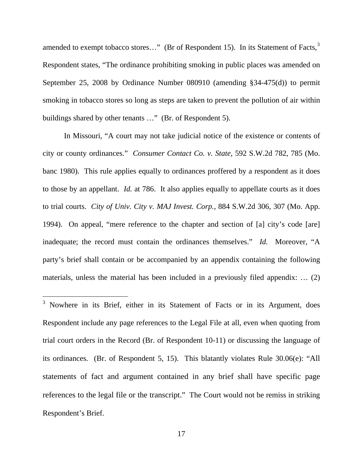amended to exempt tobacco stores..." (Br of Respondent 15). In its Statement of Facts,<sup>[3](#page-20-0)</sup> Respondent states, "The ordinance prohibiting smoking in public places was amended on September 25, 2008 by Ordinance Number 080910 (amending §34-475(d)) to permit smoking in tobacco stores so long as steps are taken to prevent the pollution of air within buildings shared by other tenants …" (Br. of Respondent 5).

In Missouri, "A court may not take judicial notice of the existence or contents of city or county ordinances." *Consumer Contact Co. v. State*, 592 S.W.2d 782, 785 (Mo. banc 1980). This rule applies equally to ordinances proffered by a respondent as it does to those by an appellant. *Id.* at 786. It also applies equally to appellate courts as it does to trial courts. *City of Univ. City v. MAJ Invest. Corp.*, 884 S.W.2d 306, 307 (Mo. App. 1994). On appeal, "mere reference to the chapter and section of [a] city's code [are] inadequate; the record must contain the ordinances themselves." *Id.* Moreover, "A party's brief shall contain or be accompanied by an appendix containing the following materials, unless the material has been included in a previously filed appendix: … (2)

 $\overline{a}$ 

<span id="page-20-0"></span><sup>&</sup>lt;sup>3</sup> Nowhere in its Brief, either in its Statement of Facts or in its Argument, does Respondent include any page references to the Legal File at all, even when quoting from trial court orders in the Record (Br. of Respondent 10-11) or discussing the language of its ordinances. (Br. of Respondent 5, 15). This blatantly violates Rule 30.06(e): "All statements of fact and argument contained in any brief shall have specific page references to the legal file or the transcript." The Court would not be remiss in striking Respondent's Brief.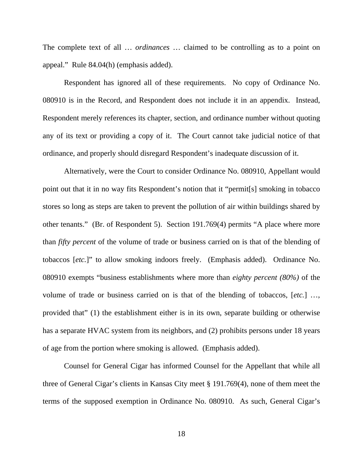The complete text of all … *ordinances* … claimed to be controlling as to a point on appeal." Rule 84.04(h) (emphasis added).

 Respondent has ignored all of these requirements. No copy of Ordinance No. 080910 is in the Record, and Respondent does not include it in an appendix. Instead, Respondent merely references its chapter, section, and ordinance number without quoting any of its text or providing a copy of it. The Court cannot take judicial notice of that ordinance, and properly should disregard Respondent's inadequate discussion of it.

Alternatively, were the Court to consider Ordinance No. 080910, Appellant would point out that it in no way fits Respondent's notion that it "permit[s] smoking in tobacco stores so long as steps are taken to prevent the pollution of air within buildings shared by other tenants." (Br. of Respondent 5). Section 191.769(4) permits "A place where more than *fifty percent* of the volume of trade or business carried on is that of the blending of tobaccos [*etc.*]" to allow smoking indoors freely. (Emphasis added). Ordinance No. 080910 exempts "business establishments where more than *eighty percent (80%)* of the volume of trade or business carried on is that of the blending of tobaccos, [*etc.*] …, provided that" (1) the establishment either is in its own, separate building or otherwise has a separate HVAC system from its neighbors, and (2) prohibits persons under 18 years of age from the portion where smoking is allowed. (Emphasis added).

Counsel for General Cigar has informed Counsel for the Appellant that while all three of General Cigar's clients in Kansas City meet § 191.769(4), none of them meet the terms of the supposed exemption in Ordinance No. 080910. As such, General Cigar's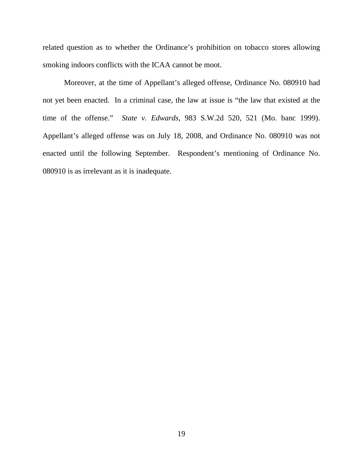related question as to whether the Ordinance's prohibition on tobacco stores allowing smoking indoors conflicts with the ICAA cannot be moot.

Moreover, at the time of Appellant's alleged offense, Ordinance No. 080910 had not yet been enacted. In a criminal case, the law at issue is "the law that existed at the time of the offense." *State v. Edwards*, 983 S.W.2d 520, 521 (Mo. banc 1999). Appellant's alleged offense was on July 18, 2008, and Ordinance No. 080910 was not enacted until the following September. Respondent's mentioning of Ordinance No. 080910 is as irrelevant as it is inadequate.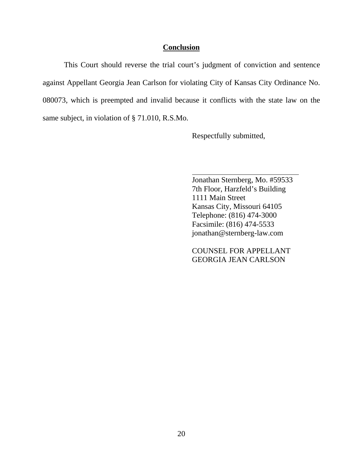### **Conclusion**

 This Court should reverse the trial court's judgment of conviction and sentence against Appellant Georgia Jean Carlson for violating City of Kansas City Ordinance No. 080073, which is preempted and invalid because it conflicts with the state law on the same subject, in violation of § 71.010, R.S.Mo.

Respectfully submitted,

Jonathan Sternberg, Mo. #59533 7th Floor, Harzfeld's Building 1111 Main Street Kansas City, Missouri 64105 Telephone: (816) 474-3000 Facsimile: (816) 474-5533 jonathan@sternberg-law.com

 COUNSEL FOR APPELLANT GEORGIA JEAN CARLSON